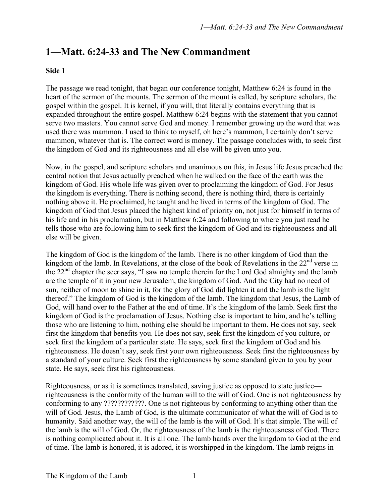## **1—Matt. 6:24-33 and The New Commandment**

## **Side 1**

The passage we read tonight, that began our conference tonight, Matthew 6:24 is found in the heart of the sermon of the mounts. The sermon of the mount is called, by scripture scholars, the gospel within the gospel. It is kernel, if you will, that literally contains everything that is expanded throughout the entire gospel. Matthew 6:24 begins with the statement that you cannot serve two masters. You cannot serve God and money. I remember growing up the word that was used there was mammon. I used to think to myself, oh here's mammon, I certainly don't serve mammon, whatever that is. The correct word is money. The passage concludes with, to seek first the kingdom of God and its righteousness and all else will be given unto you.

Now, in the gospel, and scripture scholars and unanimous on this, in Jesus life Jesus preached the central notion that Jesus actually preached when he walked on the face of the earth was the kingdom of God. His whole life was given over to proclaiming the kingdom of God. For Jesus the kingdom is everything. There is nothing second, there is nothing third, there is certainly nothing above it. He proclaimed, he taught and he lived in terms of the kingdom of God. The kingdom of God that Jesus placed the highest kind of priority on, not just for himself in terms of his life and in his proclamation, but in Matthew 6:24 and following to where you just read he tells those who are following him to seek first the kingdom of God and its righteousness and all else will be given.

The kingdom of God is the kingdom of the lamb. There is no other kingdom of God than the kingdom of the lamb. In Revelations, at the close of the book of Revelations in the  $22<sup>nd</sup>$  verse in the 22<sup>nd</sup> chapter the seer says, "I saw no temple therein for the Lord God almighty and the lamb are the temple of it in your new Jerusalem, the kingdom of God. And the City had no need of sun, neither of moon to shine in it, for the glory of God did lighten it and the lamb is the light thereof." The kingdom of God is the kingdom of the lamb. The kingdom that Jesus, the Lamb of God, will hand over to the Father at the end of time. It's the kingdom of the lamb. Seek first the kingdom of God is the proclamation of Jesus. Nothing else is important to him, and he's telling those who are listening to him, nothing else should be important to them. He does not say, seek first the kingdom that benefits you. He does not say, seek first the kingdom of you culture, or seek first the kingdom of a particular state. He says, seek first the kingdom of God and his righteousness. He doesn't say, seek first your own righteousness. Seek first the righteousness by a standard of your culture. Seek first the righteousness by some standard given to you by your state. He says, seek first his righteousness.

Righteousness, or as it is sometimes translated, saving justice as opposed to state justice righteousness is the conformity of the human will to the will of God. One is not righteousness by conforming to any ????????????. One is not righteous by conforming to anything other than the will of God. Jesus, the Lamb of God, is the ultimate communicator of what the will of God is to humanity. Said another way, the will of the lamb is the will of God. It's that simple. The will of the lamb is the will of God. Or, the righteousness of the lamb is the righteousness of God. There is nothing complicated about it. It is all one. The lamb hands over the kingdom to God at the end of time. The lamb is honored, it is adored, it is worshipped in the kingdom. The lamb reigns in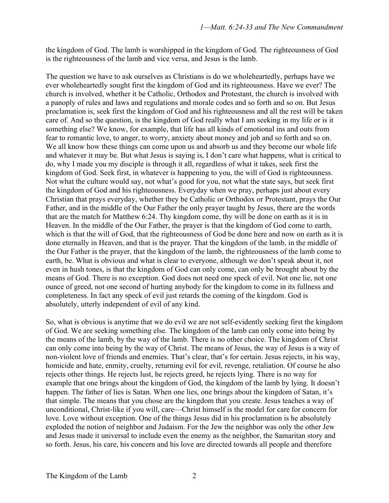the kingdom of God. The lamb is worshipped in the kingdom of God. The righteousness of God is the righteousness of the lamb and vice versa, and Jesus is the lamb.

The question we have to ask ourselves as Christians is do we wholeheartedly, perhaps have we ever wholeheartedly sought first the kingdom of God and its righteousness. Have we ever? The church is involved, whether it be Catholic, Orthodox and Protestant, the church is involved with a panoply of rules and laws and regulations and morale codes and so forth and so on. But Jesus proclamation is, seek first the kingdom of God and his righteousness and all the rest will be taken care of. And so the question, is the kingdom of God really what I am seeking in my life or is it something else? We know, for example, that life has all kinds of emotional ins and outs from fear to romantic love, to anger, to worry, anxiety about money and job and so forth and so on. We all know how these things can come upon us and absorb us and they become our whole life and whatever it may be. But what Jesus is saying is, I don't care what happens, what is critical to do, why I made you my disciple is through it all, regardless of what it takes, seek first the kingdom of God. Seek first, in whatever is happening to you, the will of God is righteousness. Not what the culture would say, not what's good for you, not what the state says, but seek first the kingdom of God and his righteousness. Everyday when we pray, perhaps just about every Christian that prays everyday, whether they be Catholic or Orthodox or Protestant, prays the Our Father, and in the middle of the Our Father the only prayer taught by Jesus, there are the words that are the match for Matthew 6:24. Thy kingdom come, thy will be done on earth as it is in Heaven. In the middle of the Our Father, the prayer is that the kingdom of God come to earth, which is that the will of God, that the righteousness of God be done here and now on earth as it is done eternally in Heaven, and that is the prayer. That the kingdom of the lamb, in the middle of the Our Father is the prayer, that the kingdom of the lamb, the righteousness of the lamb come to earth, be. What is obvious and what is clear to everyone, although we don't speak about it, not even in hush tones, is that the kingdom of God can only come, can only be brought about by the means of God. There is no exception. God does not need one speck of evil. Not one lie, not one ounce of greed, not one second of hurting anybody for the kingdom to come in its fullness and completeness. In fact any speck of evil just retards the coming of the kingdom. God is absolutely, utterly independent of evil of any kind.

So, what is obvious is anytime that we do evil we are not self-evidently seeking first the kingdom of God. We are seeking something else. The kingdom of the lamb can only come into being by the means of the lamb, by the way of the lamb. There is no other choice. The kingdom of Christ can only come into being by the way of Christ. The means of Jesus, the way of Jesus is a way of non-violent love of friends and enemies. That's clear, that's for certain. Jesus rejects, in his way, homicide and hate, enmity, cruelty, returning evil for evil, revenge, retaliation. Of course he also rejects other things. He rejects lust, he rejects greed, he rejects lying. There is no way for example that one brings about the kingdom of God, the kingdom of the lamb by lying. It doesn't happen. The father of lies is Satan. When one lies, one brings about the kingdom of Satan, it's that simple. The means that you chose are the kingdom that you create. Jesus teaches a way of unconditional, Christ-like if you will, care—Christ himself is the model for care for concern for love. Love without exception. One of the things Jesus did in his proclamation is he absolutely exploded the notion of neighbor and Judaism. For the Jew the neighbor was only the other Jew and Jesus made it universal to include even the enemy as the neighbor, the Samaritan story and so forth. Jesus, his care, his concern and his love are directed towards all people and therefore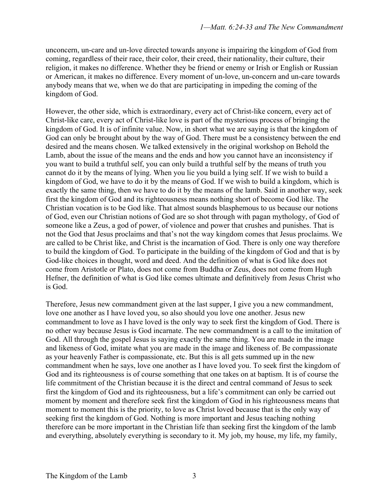unconcern, un-care and un-love directed towards anyone is impairing the kingdom of God from coming, regardless of their race, their color, their creed, their nationality, their culture, their religion, it makes no difference. Whether they be friend or enemy or Irish or English or Russian or American, it makes no difference. Every moment of un-love, un-concern and un-care towards anybody means that we, when we do that are participating in impeding the coming of the kingdom of God.

However, the other side, which is extraordinary, every act of Christ-like concern, every act of Christ-like care, every act of Christ-like love is part of the mysterious process of bringing the kingdom of God. It is of infinite value. Now, in short what we are saying is that the kingdom of God can only be brought about by the way of God. There must be a consistency between the end desired and the means chosen. We talked extensively in the original workshop on Behold the Lamb, about the issue of the means and the ends and how you cannot have an inconsistency if you want to build a truthful self, you can only build a truthful self by the means of truth you cannot do it by the means of lying. When you lie you build a lying self. If we wish to build a kingdom of God, we have to do it by the means of God. If we wish to build a kingdom, which is exactly the same thing, then we have to do it by the means of the lamb. Said in another way, seek first the kingdom of God and its righteousness means nothing short of become God like. The Christian vocation is to be God like. That almost sounds blasphemous to us because our notions of God, even our Christian notions of God are so shot through with pagan mythology, of God of someone like a Zeus, a god of power, of violence and power that crushes and punishes. That is not the God that Jesus proclaims and that's not the way kingdom comes that Jesus proclaims. We are called to be Christ like, and Christ is the incarnation of God. There is only one way therefore to build the kingdom of God. To participate in the building of the kingdom of God and that is by God-like choices in thought, word and deed. And the definition of what is God like does not come from Aristotle or Plato, does not come from Buddha or Zeus, does not come from Hugh Hefner, the definition of what is God like comes ultimate and definitively from Jesus Christ who is God.

Therefore, Jesus new commandment given at the last supper, I give you a new commandment, love one another as I have loved you, so also should you love one another. Jesus new commandment to love as I have loved is the only way to seek first the kingdom of God. There is no other way because Jesus is God incarnate. The new commandment is a call to the imitation of God. All through the gospel Jesus is saying exactly the same thing. You are made in the image and likeness of God, imitate what you are made in the image and likeness of. Be compassionate as your heavenly Father is compassionate, etc. But this is all gets summed up in the new commandment when he says, love one another as I have loved you. To seek first the kingdom of God and its righteousness is of course something that one takes on at baptism. It is of course the life commitment of the Christian because it is the direct and central command of Jesus to seek first the kingdom of God and its righteousness, but a life's commitment can only be carried out moment by moment and therefore seek first the kingdom of God in his righteousness means that moment to moment this is the priority, to love as Christ loved because that is the only way of seeking first the kingdom of God. Nothing is more important and Jesus teaching nothing therefore can be more important in the Christian life than seeking first the kingdom of the lamb and everything, absolutely everything is secondary to it. My job, my house, my life, my family,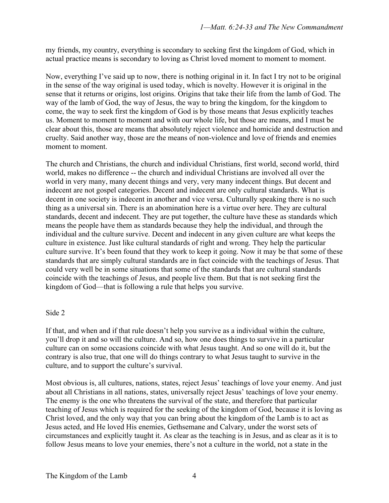my friends, my country, everything is secondary to seeking first the kingdom of God, which in actual practice means is secondary to loving as Christ loved moment to moment to moment.

Now, everything I've said up to now, there is nothing original in it. In fact I try not to be original in the sense of the way original is used today, which is novelty. However it is original in the sense that it returns or origins, lost origins. Origins that take their life from the lamb of God. The way of the lamb of God, the way of Jesus, the way to bring the kingdom, for the kingdom to come, the way to seek first the kingdom of God is by those means that Jesus explicitly teaches us. Moment to moment to moment and with our whole life, but those are means, and I must be clear about this, those are means that absolutely reject violence and homicide and destruction and cruelty. Said another way, those are the means of non-violence and love of friends and enemies moment to moment.

The church and Christians, the church and individual Christians, first world, second world, third world, makes no difference -- the church and individual Christians are involved all over the world in very many, many decent things and very, very many indecent things. But decent and indecent are not gospel categories. Decent and indecent are only cultural standards. What is decent in one society is indecent in another and vice versa. Culturally speaking there is no such thing as a universal sin. There is an abomination here is a virtue over here. They are cultural standards, decent and indecent. They are put together, the culture have these as standards which means the people have them as standards because they help the individual, and through the individual and the culture survive. Decent and indecent in any given culture are what keeps the culture in existence. Just like cultural standards of right and wrong. They help the particular culture survive. It's been found that they work to keep it going. Now it may be that some of these standards that are simply cultural standards are in fact coincide with the teachings of Jesus. That could very well be in some situations that some of the standards that are cultural standards coincide with the teachings of Jesus, and people live them. But that is not seeking first the kingdom of God—that is following a rule that helps you survive.

## Side 2

If that, and when and if that rule doesn't help you survive as a individual within the culture, you'll drop it and so will the culture. And so, how one does things to survive in a particular culture can on some occasions coincide with what Jesus taught. And so one will do it, but the contrary is also true, that one will do things contrary to what Jesus taught to survive in the culture, and to support the culture's survival.

Most obvious is, all cultures, nations, states, reject Jesus' teachings of love your enemy. And just about all Christians in all nations, states, universally reject Jesus' teachings of love your enemy. The enemy is the one who threatens the survival of the state, and therefore that particular teaching of Jesus which is required for the seeking of the kingdom of God, because it is loving as Christ loved, and the only way that you can bring about the kingdom of the Lamb is to act as Jesus acted, and He loved His enemies, Gethsemane and Calvary, under the worst sets of circumstances and explicitly taught it. As clear as the teaching is in Jesus, and as clear as it is to follow Jesus means to love your enemies, there's not a culture in the world, not a state in the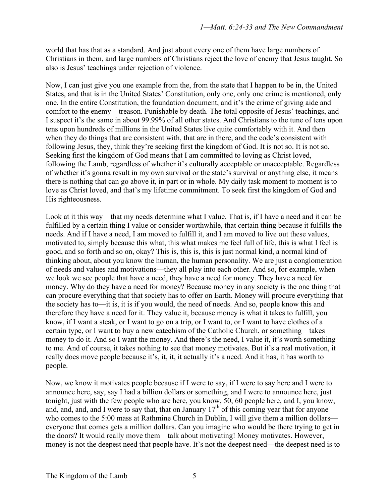world that has that as a standard. And just about every one of them have large numbers of Christians in them, and large numbers of Christians reject the love of enemy that Jesus taught. So also is Jesus' teachings under rejection of violence.

Now, I can just give you one example from the, from the state that I happen to be in, the United States, and that is in the United States' Constitution, only one, only one crime is mentioned, only one. In the entire Constitution, the foundation document, and it's the crime of giving aide and comfort to the enemy—treason. Punishable by death. The total opposite of Jesus' teachings, and I suspect it's the same in about 99.99% of all other states. And Christians to the tune of tens upon tens upon hundreds of millions in the United States live quite comfortably with it. And then when they do things that are consistent with, that are in there, and the code's consistent with following Jesus, they, think they're seeking first the kingdom of God. It is not so. It is not so. Seeking first the kingdom of God means that I am committed to loving as Christ loved, following the Lamb, regardless of whether it's culturally acceptable or unacceptable. Regardless of whether it's gonna result in my own survival or the state's survival or anything else, it means there is nothing that can go above it, in part or in whole. My daily task moment to moment is to love as Christ loved, and that's my lifetime commitment. To seek first the kingdom of God and His righteousness.

Look at it this way—that my needs determine what I value. That is, if I have a need and it can be fulfilled by a certain thing I value or consider worthwhile, that certain thing because it fulfills the needs. And if I have a need, I am moved to fulfill it, and I am moved to live out these values, motivated to, simply because this what, this what makes me feel full of life, this is what I feel is good, and so forth and so on, okay? This is, this is, this is just normal kind, a normal kind of thinking about, about you know the human, the human personality. We are just a conglomeration of needs and values and motivations—they all play into each other. And so, for example, when we look we see people that have a need, they have a need for money. They have a need for money. Why do they have a need for money? Because money in any society is the one thing that can procure everything that that society has to offer on Earth. Money will procure everything that the society has to—it is, it is if you would, the need of needs. And so, people know this and therefore they have a need for it. They value it, because money is what it takes to fulfill, you know, if I want a steak, or I want to go on a trip, or I want to, or I want to have clothes of a certain type, or I want to buy a new catechism of the Catholic Church, or something—takes money to do it. And so I want the money. And there's the need, I value it, it's worth something to me. And of course, it takes nothing to see that money motivates. But it's a real motivation, it really does move people because it's, it, it, it actually it's a need. And it has, it has worth to people.

Now, we know it motivates people because if I were to say, if I were to say here and I were to announce here, say, say I had a billion dollars or something, and I were to announce here, just tonight, just with the few people who are here, you know, 50, 60 people here, and I, you know, and, and, and I were to say that, that on January  $17<sup>th</sup>$  of this coming year that for anyone who comes to the 5:00 mass at Rathmine Church in Dublin, I will give them a million dollars everyone that comes gets a million dollars. Can you imagine who would be there trying to get in the doors? It would really move them—talk about motivating! Money motivates. However, money is not the deepest need that people have. It's not the deepest need—the deepest need is to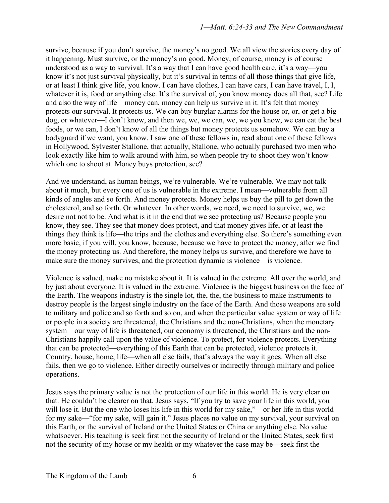survive, because if you don't survive, the money's no good. We all view the stories every day of it happening. Must survive, or the money's no good. Money, of course, money is of course understood as a way to survival. It's a way that I can have good health care, it's a way—you know it's not just survival physically, but it's survival in terms of all those things that give life, or at least I think give life, you know. I can have clothes, I can have cars, I can have travel, I, I, whatever it is, food or anything else. It's the survival of, you know money does all that, see? Life and also the way of life—money can, money can help us survive in it. It's felt that money protects our survival. It protects us. We can buy burglar alarms for the house or, or, or get a big dog, or whatever—I don't know, and then we, we, we can, we, we you know, we can eat the best foods, or we can, I don't know of all the things but money protects us somehow. We can buy a bodyguard if we want, you know. I saw one of these fellows in, read about one of these fellows in Hollywood, Sylvester Stallone, that actually, Stallone, who actually purchased two men who look exactly like him to walk around with him, so when people try to shoot they won't know which one to shoot at. Money buys protection, see?

And we understand, as human beings, we're vulnerable. We're vulnerable. We may not talk about it much, but every one of us is vulnerable in the extreme. I mean—vulnerable from all kinds of angles and so forth. And money protects. Money helps us buy the pill to get down the cholesterol, and so forth. Or whatever. In other words, we need, we need to survive, we, we desire not not to be. And what is it in the end that we see protecting us? Because people you know, they see. They see that money does protect, and that money gives life, or at least the things they think is life—the trips and the clothes and everything else. So there's something even more basic, if you will, you know, because, because we have to protect the money, after we find the money protecting us. And therefore, the money helps us survive, and therefore we have to make sure the money survives, and the protection dynamic is violence—is violence.

Violence is valued, make no mistake about it. It is valued in the extreme. All over the world, and by just about everyone. It is valued in the extreme. Violence is the biggest business on the face of the Earth. The weapons industry is the single lot, the, the, the business to make instruments to destroy people is the largest single industry on the face of the Earth. And those weapons are sold to military and police and so forth and so on, and when the particular value system or way of life or people in a society are threatened, the Christians and the non-Christians, when the monetary system—our way of life is threatened, our economy is threatened, the Christians and the non-Christians happily call upon the value of violence. To protect, for violence protects. Everything that can be protected—everything of this Earth that can be protected, violence protects it. Country, house, home, life—when all else fails, that's always the way it goes. When all else fails, then we go to violence. Either directly ourselves or indirectly through military and police operations.

Jesus says the primary value is not the protection of our life in this world. He is very clear on that. He couldn't be clearer on that. Jesus says, "If you try to save your life in this world, you will lose it. But the one who loses his life in this world for my sake,"—or her life in this world for my sake—"for my sake, will gain it." Jesus places no value on my survival, your survival on this Earth, or the survival of Ireland or the United States or China or anything else. No value whatsoever. His teaching is seek first not the security of Ireland or the United States, seek first not the security of my house or my health or my whatever the case may be—seek first the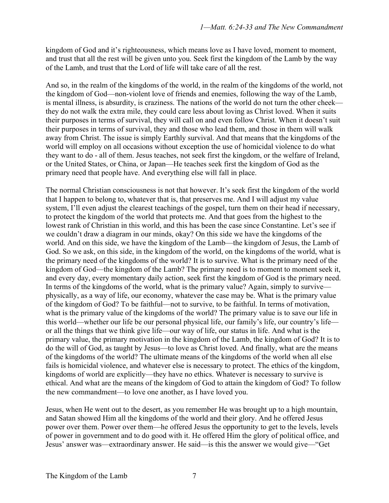kingdom of God and it's righteousness, which means love as I have loved, moment to moment, and trust that all the rest will be given unto you. Seek first the kingdom of the Lamb by the way of the Lamb, and trust that the Lord of life will take care of all the rest.

And so, in the realm of the kingdoms of the world, in the realm of the kingdoms of the world, not the kingdom of God—non-violent love of friends and enemies, following the way of the Lamb, is mental illness, is absurdity, is craziness. The nations of the world do not turn the other cheek they do not walk the extra mile, they could care less about loving as Christ loved. When it suits their purposes in terms of survival, they will call on and even follow Christ. When it doesn't suit their purposes in terms of survival, they and those who lead them, and those in them will walk away from Christ. The issue is simply Earthly survival. And that means that the kingdoms of the world will employ on all occasions without exception the use of homicidal violence to do what they want to do - all of them. Jesus teaches, not seek first the kingdom, or the welfare of Ireland, or the United States, or China, or Japan—He teaches seek first the kingdom of God as the primary need that people have. And everything else will fall in place.

The normal Christian consciousness is not that however. It's seek first the kingdom of the world that I happen to belong to, whatever that is, that preserves me. And I will adjust my value system, I'll even adjust the clearest teachings of the gospel, turn them on their head if necessary, to protect the kingdom of the world that protects me. And that goes from the highest to the lowest rank of Christian in this world, and this has been the case since Constantine. Let's see if we couldn't draw a diagram in our minds, okay? On this side we have the kingdoms of the world. And on this side, we have the kingdom of the Lamb—the kingdom of Jesus, the Lamb of God. So we ask, on this side, in the kingdom of the world, on the kingdoms of the world, what is the primary need of the kingdoms of the world? It is to survive. What is the primary need of the kingdom of God—the kingdom of the Lamb? The primary need is to moment to moment seek it, and every day, every momentary daily action, seek first the kingdom of God is the primary need. In terms of the kingdoms of the world, what is the primary value? Again, simply to survive physically, as a way of life, our economy, whatever the case may be. What is the primary value of the kingdom of God? To be faithful—not to survive, to be faithful. In terms of motivation, what is the primary value of the kingdoms of the world? The primary value is to save our life in this world—whether our life be our personal physical life, our family's life, our country's life or all the things that we think give life—our way of life, our status in life. And what is the primary value, the primary motivation in the kingdom of the Lamb, the kingdom of God? It is to do the will of God, as taught by Jesus—to love as Christ loved. And finally, what are the means of the kingdoms of the world? The ultimate means of the kingdoms of the world when all else fails is homicidal violence, and whatever else is necessary to protect. The ethics of the kingdom, kingdoms of world are explicitly—they have no ethics. Whatever is necessary to survive is ethical. And what are the means of the kingdom of God to attain the kingdom of God? To follow the new commandment—to love one another, as I have loved you.

Jesus, when He went out to the desert, as you remember He was brought up to a high mountain, and Satan showed Him all the kingdoms of the world and their glory. And he offered Jesus power over them. Power over them—he offered Jesus the opportunity to get to the levels, levels of power in government and to do good with it. He offered Him the glory of political office, and Jesus' answer was—extraordinary answer. He said—is this the answer we would give—"Get